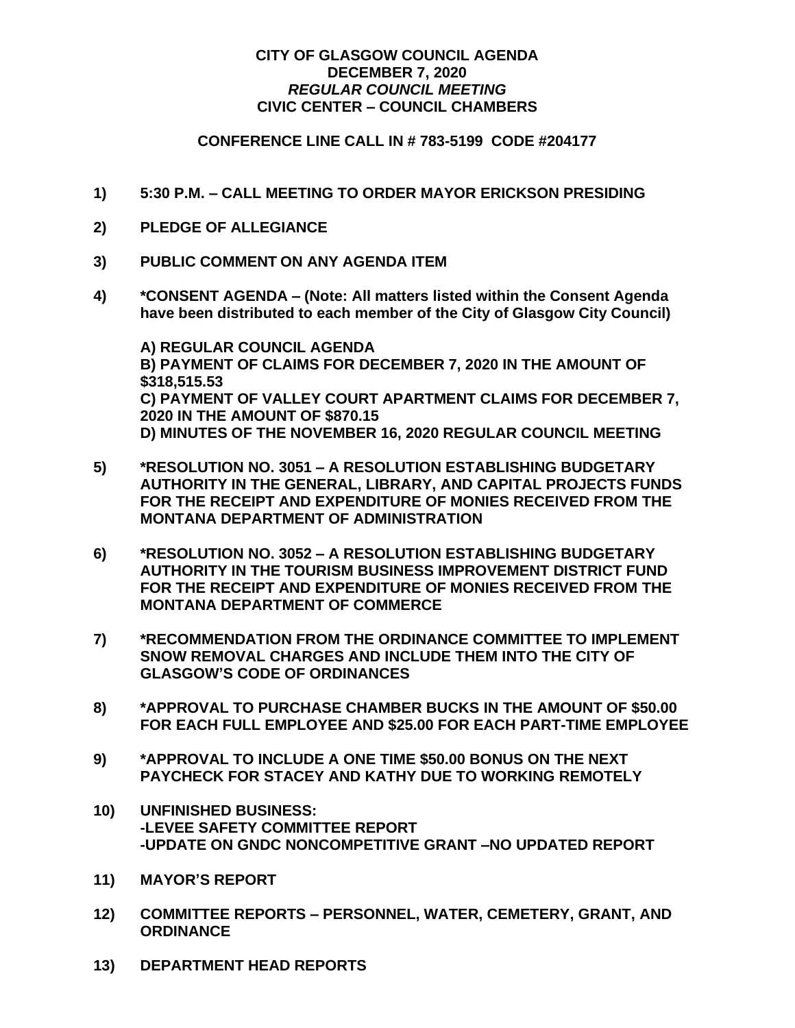## **CITY OF GLASGOW COUNCIL AGENDA DECEMBER 7, 2020** *REGULAR COUNCIL MEETING* **CIVIC CENTER – COUNCIL CHAMBERS**

## **CONFERENCE LINE CALL IN # 783-5199 CODE #204177**

- **1) 5:30 P.M. – CALL MEETING TO ORDER MAYOR ERICKSON PRESIDING**
- **2) PLEDGE OF ALLEGIANCE**
- **3) PUBLIC COMMENT ON ANY AGENDA ITEM**
- **4) \*CONSENT AGENDA – (Note: All matters listed within the Consent Agenda have been distributed to each member of the City of Glasgow City Council)**

**A) REGULAR COUNCIL AGENDA B) PAYMENT OF CLAIMS FOR DECEMBER 7, 2020 IN THE AMOUNT OF \$318,515.53 C) PAYMENT OF VALLEY COURT APARTMENT CLAIMS FOR DECEMBER 7, 2020 IN THE AMOUNT OF \$870.15 D) MINUTES OF THE NOVEMBER 16, 2020 REGULAR COUNCIL MEETING**

- **5) \*RESOLUTION NO. 3051 – A RESOLUTION ESTABLISHING BUDGETARY AUTHORITY IN THE GENERAL, LIBRARY, AND CAPITAL PROJECTS FUNDS FOR THE RECEIPT AND EXPENDITURE OF MONIES RECEIVED FROM THE MONTANA DEPARTMENT OF ADMINISTRATION**
- **6) \*RESOLUTION NO. 3052 – A RESOLUTION ESTABLISHING BUDGETARY AUTHORITY IN THE TOURISM BUSINESS IMPROVEMENT DISTRICT FUND FOR THE RECEIPT AND EXPENDITURE OF MONIES RECEIVED FROM THE MONTANA DEPARTMENT OF COMMERCE**
- **7) \*RECOMMENDATION FROM THE ORDINANCE COMMITTEE TO IMPLEMENT SNOW REMOVAL CHARGES AND INCLUDE THEM INTO THE CITY OF GLASGOW'S CODE OF ORDINANCES**
- **8) \*APPROVAL TO PURCHASE CHAMBER BUCKS IN THE AMOUNT OF \$50.00 FOR EACH FULL EMPLOYEE AND \$25.00 FOR EACH PART-TIME EMPLOYEE**
- **9) \*APPROVAL TO INCLUDE A ONE TIME \$50.00 BONUS ON THE NEXT PAYCHECK FOR STACEY AND KATHY DUE TO WORKING REMOTELY**
- **10) UNFINISHED BUSINESS: -LEVEE SAFETY COMMITTEE REPORT -UPDATE ON GNDC NONCOMPETITIVE GRANT –NO UPDATED REPORT**
- **11) MAYOR'S REPORT**
- **12) COMMITTEE REPORTS – PERSONNEL, WATER, CEMETERY, GRANT, AND ORDINANCE**
- **13) DEPARTMENT HEAD REPORTS**